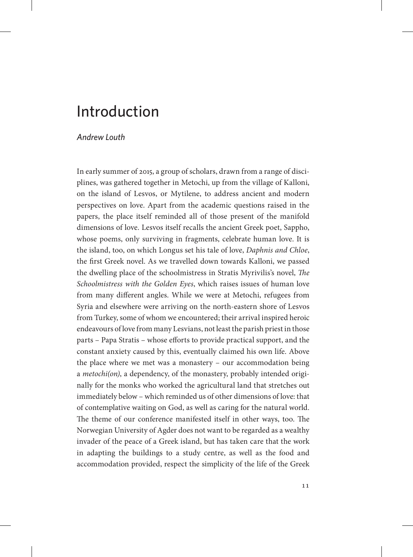## Introduction

## *Andrew Louth*

In early summer of 2015, a group of scholars, drawn from a range of disciplines, was gathered together in Metochi, up from the village of Kalloni, on the island of Lesvos, or Mytilene, to address ancient and modern perspectives on love. Apart from the academic questions raised in the papers, the place itself reminded all of those present of the manifold dimensions of love. Lesvos itself recalls the ancient Greek poet, Sappho, whose poems, only surviving in fragments, celebrate human love. It is the island, too, on which Longus set his tale of love, *Daphnis and Chloe*, the first Greek novel. As we travelled down towards Kalloni, we passed the dwelling place of the schoolmistress in Stratis Myrivilis's novel, *The Schoolmistress with the Golden Eyes*, which raises issues of human love from many different angles. While we were at Metochi, refugees from Syria and elsewhere were arriving on the north-eastern shore of Lesvos from Turkey, some of whom we encountered; their arrival inspired heroic endeavours of love from many Lesvians, not least the parish priest in those parts – Papa Stratis – whose efforts to provide practical support, and the constant anxiety caused by this, eventually claimed his own life. Above the place where we met was a monastery – our accommodation being a *metochi(on)*, a dependency, of the monastery, probably intended originally for the monks who worked the agricultural land that stretches out immediately below – which reminded us of other dimensions of love: that of contemplative waiting on God, as well as caring for the natural world. The theme of our conference manifested itself in other ways, too. The Norwegian University of Agder does not want to be regarded as a wealthy invader of the peace of a Greek island, but has taken care that the work in adapting the buildings to a study centre, as well as the food and accommodation provided, respect the simplicity of the life of the Greek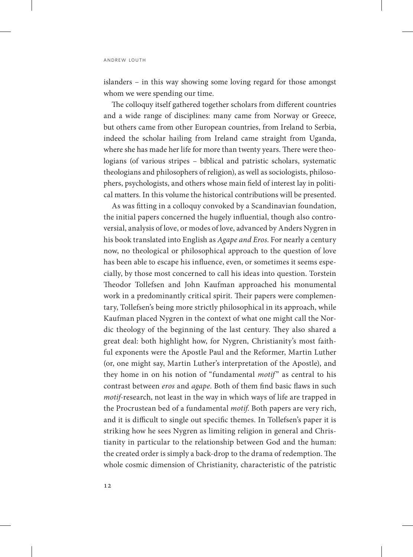islanders – in this way showing some loving regard for those amongst whom we were spending our time.

The colloquy itself gathered together scholars from different countries and a wide range of disciplines: many came from Norway or Greece, but others came from other European countries, from Ireland to Serbia, indeed the scholar hailing from Ireland came straight from Uganda, where she has made her life for more than twenty years. There were theologians (of various stripes – biblical and patristic scholars, systematic theologians and philosophers of religion), as well as sociologists, philosophers, psychologists, and others whose main field of interest lay in political matters. In this volume the historical contributions will be presented.

As was fitting in a colloquy convoked by a Scandinavian foundation, the initial papers concerned the hugely influential, though also controversial, analysis of love, or modes of love, advanced by Anders Nygren in his book translated into English as *Agape and Eros*. For nearly a century now, no theological or philosophical approach to the question of love has been able to escape his influence, even, or sometimes it seems especially, by those most concerned to call his ideas into question. Torstein Theodor Tollefsen and John Kaufman approached his monumental work in a predominantly critical spirit. Their papers were complementary, Tollefsen's being more strictly philosophical in its approach, while Kaufman placed Nygren in the context of what one might call the Nordic theology of the beginning of the last century. They also shared a great deal: both highlight how, for Nygren, Christianity's most faithful exponents were the Apostle Paul and the Reformer, Martin Luther (or, one might say, Martin Luther's interpretation of the Apostle), and they home in on his notion of "fundamental *motif*" as central to his contrast between *eros* and *agape*. Both of them find basic flaws in such *motif-*research, not least in the way in which ways of life are trapped in the Procrustean bed of a fundamental *motif*. Both papers are very rich, and it is difficult to single out specific themes. In Tollefsen's paper it is striking how he sees Nygren as limiting religion in general and Christianity in particular to the relationship between God and the human: the created order is simply a back-drop to the drama of redemption. The whole cosmic dimension of Christianity, characteristic of the patristic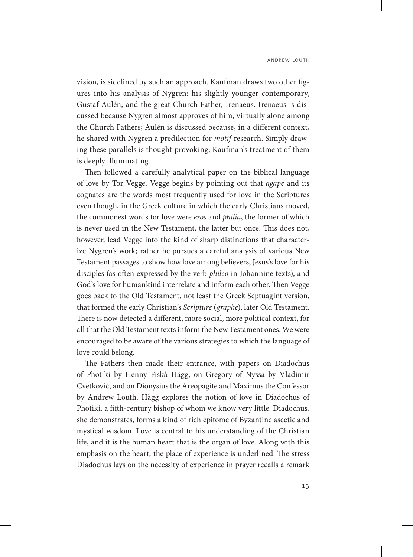vision, is sidelined by such an approach. Kaufman draws two other figures into his analysis of Nygren: his slightly younger contemporary, Gustaf Aulén, and the great Church Father, Irenaeus. Irenaeus is discussed because Nygren almost approves of him, virtually alone among the Church Fathers; Aulén is discussed because, in a different context, he shared with Nygren a predilection for *motif*-research. Simply drawing these parallels is thought-provoking; Kaufman's treatment of them is deeply illuminating.

Then followed a carefully analytical paper on the biblical language of love by Tor Vegge. Vegge begins by pointing out that *agape* and its cognates are the words most frequently used for love in the Scriptures even though, in the Greek culture in which the early Christians moved, the commonest words for love were *eros* and *philia*, the former of which is never used in the New Testament, the latter but once. This does not, however, lead Vegge into the kind of sharp distinctions that characterize Nygren's work; rather he pursues a careful analysis of various New Testament passages to show how love among believers, Jesus's love for his disciples (as often expressed by the verb *phileo* in Johannine texts), and God's love for humankind interrelate and inform each other. Then Vegge goes back to the Old Testament, not least the Greek Septuagint version, that formed the early Christian's *Scripture* (*graphe*), later Old Testament. There is now detected a different, more social, more political context, for all that the Old Testament texts inform the New Testament ones. We were encouraged to be aware of the various strategies to which the language of love could belong.

The Fathers then made their entrance, with papers on Diadochus of Photiki by Henny Fiskå Hägg, on Gregory of Nyssa by Vladimir Cvetković, and on Dionysius the Areopagite and Maximus the Confessor by Andrew Louth. Hägg explores the notion of love in Diadochus of Photiki, a fifth-century bishop of whom we know very little. Diadochus, she demonstrates, forms a kind of rich epitome of Byzantine ascetic and mystical wisdom. Love is central to his understanding of the Christian life, and it is the human heart that is the organ of love. Along with this emphasis on the heart, the place of experience is underlined. The stress Diadochus lays on the necessity of experience in prayer recalls a remark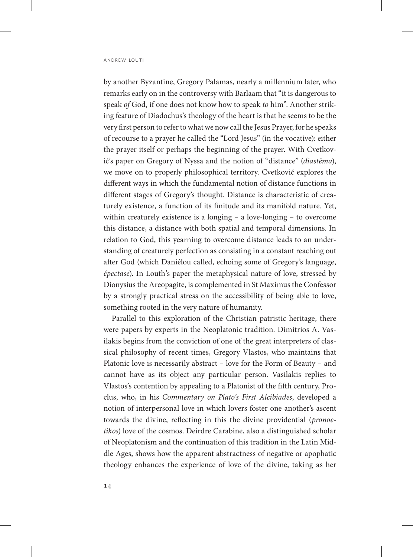by another Byzantine, Gregory Palamas, nearly a millennium later, who remarks early on in the controversy with Barlaam that "it is dangerous to speak *of* God, if one does not know how to speak *to* him". Another striking feature of Diadochus's theology of the heart is that he seems to be the very first person to refer to what we now call the Jesus Prayer, for he speaks of recourse to a prayer he called the "Lord Jesus" (in the vocative): either the prayer itself or perhaps the beginning of the prayer. With Cvetković's paper on Gregory of Nyssa and the notion of "distance" (*diastēma*), we move on to properly philosophical territory. Cvetković explores the different ways in which the fundamental notion of distance functions in different stages of Gregory's thought. Distance is characteristic of creaturely existence, a function of its finitude and its manifold nature. Yet, within creaturely existence is a longing – a love-longing – to overcome this distance, a distance with both spatial and temporal dimensions. In relation to God, this yearning to overcome distance leads to an understanding of creaturely perfection as consisting in a constant reaching out after God (which Daniélou called, echoing some of Gregory's language, *épectase*). In Louth's paper the metaphysical nature of love, stressed by Dionysius the Areopagite, is complemented in St Maximus the Confessor by a strongly practical stress on the accessibility of being able to love, something rooted in the very nature of humanity.

Parallel to this exploration of the Christian patristic heritage, there were papers by experts in the Neoplatonic tradition. Dimitrios A. Vasilakis begins from the conviction of one of the great interpreters of classical philosophy of recent times, Gregory Vlastos, who maintains that Platonic love is necessarily abstract – love for the Form of Beauty – and cannot have as its object any particular person. Vasilakis replies to Vlastos's contention by appealing to a Platonist of the fifth century, Proclus, who, in his *Commentary on Plato's First Alcibiades*, developed a notion of interpersonal love in which lovers foster one another's ascent towards the divine, reflecting in this the divine providential (*pronoetikos*) love of the cosmos. Deirdre Carabine, also a distinguished scholar of Neoplatonism and the continuation of this tradition in the Latin Middle Ages, shows how the apparent abstractness of negative or apophatic theology enhances the experience of love of the divine, taking as her